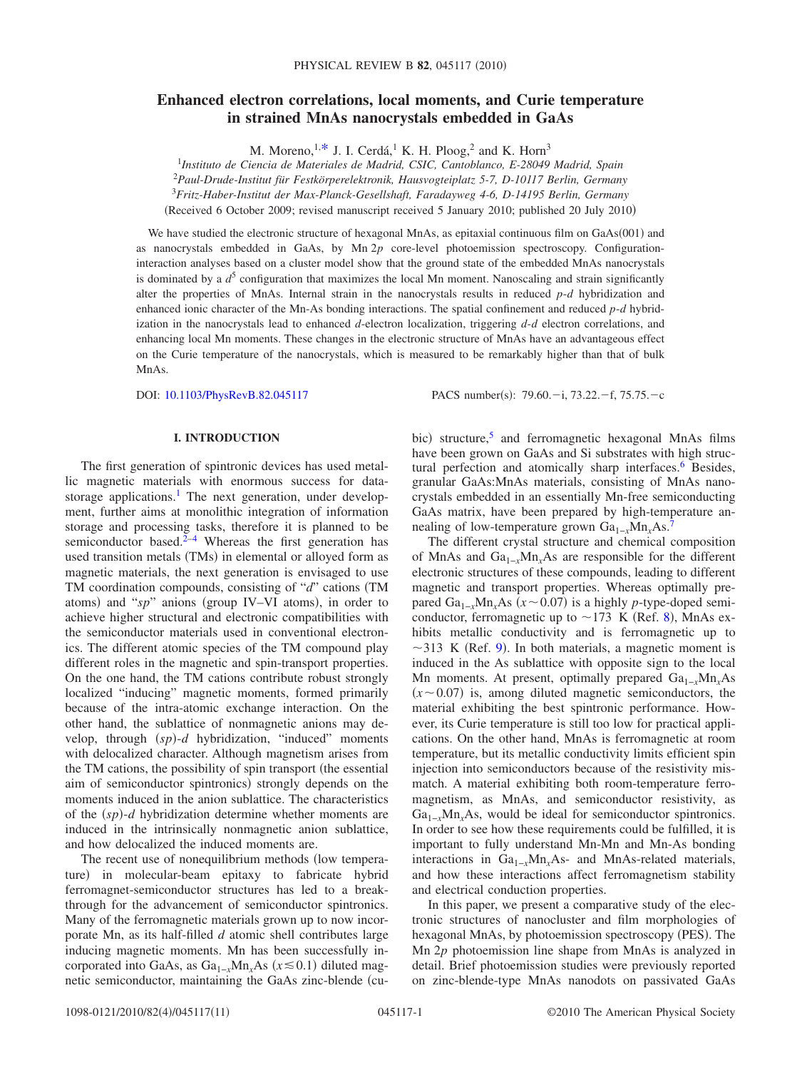# **Enhanced electron correlations, local moments, and Curie temperature in strained MnAs nanocrystals embedded in GaAs**

M. Moreno,  $1, *$  J. I. Cerdá, <sup>1</sup> K. H. Ploog, <sup>2</sup> and K. Horn<sup>3</sup>

<sup>1</sup>*Instituto de Ciencia de Materiales de Madrid, CSIC, Cantoblanco, E-28049 Madrid, Spain* 2 *Paul-Drude-Institut für Festkörperelektronik, Hausvogteiplatz 5-7, D-10117 Berlin, Germany*

<sup>3</sup>*Fritz-Haber-Institut der Max-Planck-Gesellshaft, Faradayweg 4-6, D-14195 Berlin, Germany*

(Received 6 October 2009; revised manuscript received 5 January 2010; published 20 July 2010)

We have studied the electronic structure of hexagonal MnAs, as epitaxial continuous film on  $GaAs(001)$  and as nanocrystals embedded in GaAs, by Mn 2*p* core-level photoemission spectroscopy. Configurationinteraction analyses based on a cluster model show that the ground state of the embedded MnAs nanocrystals is dominated by a  $d^5$  configuration that maximizes the local Mn moment. Nanoscaling and strain significantly alter the properties of MnAs. Internal strain in the nanocrystals results in reduced *p*-*d* hybridization and enhanced ionic character of the Mn-As bonding interactions. The spatial confinement and reduced *p*-*d* hybridization in the nanocrystals lead to enhanced *d*-electron localization, triggering *d*-*d* electron correlations, and enhancing local Mn moments. These changes in the electronic structure of MnAs have an advantageous effect on the Curie temperature of the nanocrystals, which is measured to be remarkably higher than that of bulk MnAs.

DOI: [10.1103/PhysRevB.82.045117](http://dx.doi.org/10.1103/PhysRevB.82.045117)

PACS number(s):  $79.60 - i$ ,  $73.22 - f$ ,  $75.75 - c$ 

### **I. INTRODUCTION**

The first generation of spintronic devices has used metallic magnetic materials with enormous success for datastorage applications.<sup>1</sup> The next generation, under development, further aims at monolithic integration of information storage and processing tasks, therefore it is planned to be semiconductor based. $2-4$  Whereas the first generation has used transition metals (TMs) in elemental or alloyed form as magnetic materials, the next generation is envisaged to use TM coordination compounds, consisting of "d" cations (TM atoms) and "sp" anions (group IV–VI atoms), in order to achieve higher structural and electronic compatibilities with the semiconductor materials used in conventional electronics. The different atomic species of the TM compound play different roles in the magnetic and spin-transport properties. On the one hand, the TM cations contribute robust strongly localized "inducing" magnetic moments, formed primarily because of the intra-atomic exchange interaction. On the other hand, the sublattice of nonmagnetic anions may develop, through (sp)-d hybridization, "induced" moments with delocalized character. Although magnetism arises from the TM cations, the possibility of spin transport (the essential aim of semiconductor spintronics) strongly depends on the moments induced in the anion sublattice. The characteristics of the  $(sp)$ -*d* hybridization determine whether moments are induced in the intrinsically nonmagnetic anion sublattice, and how delocalized the induced moments are.

The recent use of nonequilibrium methods (low temperature) in molecular-beam epitaxy to fabricate hybrid ferromagnet-semiconductor structures has led to a breakthrough for the advancement of semiconductor spintronics. Many of the ferromagnetic materials grown up to now incorporate Mn, as its half-filled *d* atomic shell contributes large inducing magnetic moments. Mn has been successfully incorporated into GaAs, as  $Ga_{1-x}Mn_xAs$  ( $x \le 0.1$ ) diluted magnetic semiconductor, maintaining the GaAs zinc-blende (cu-

bic) structure,<sup>5</sup> and ferromagnetic hexagonal MnAs films have been grown on GaAs and Si substrates with high structural perfection and atomically sharp interfaces.<sup>6</sup> Besides, granular GaAs:MnAs materials, consisting of MnAs nanocrystals embedded in an essentially Mn-free semiconducting GaAs matrix, have been prepared by high-temperature annealing of low-temperature grown Ga<sub>1−*x*</sub>Mn<sub>*x*</sub>As.<sup>7</sup>

The different crystal structure and chemical composition of MnAs and Ga1−*x*Mn*x*As are responsible for the different electronic structures of these compounds, leading to different magnetic and transport properties. Whereas optimally prepared  $Ga_{1-x}Mn_xAs$  ( $x \sim 0.07$ ) is a highly *p*-type-doped semiconductor, ferromagnetic up to  $\sim$ 173 K (Ref. [8](#page-9-7)), MnAs exhibits metallic conductivity and is ferromagnetic up to  $\sim$ 313 K (Ref. [9](#page-9-8)). In both materials, a magnetic moment is induced in the As sublattice with opposite sign to the local Mn moments. At present, optimally prepared Ga<sub>1-*x*</sub>Mn<sub>*x*</sub>As  $(x \sim 0.07)$  is, among diluted magnetic semiconductors, the material exhibiting the best spintronic performance. However, its Curie temperature is still too low for practical applications. On the other hand, MnAs is ferromagnetic at room temperature, but its metallic conductivity limits efficient spin injection into semiconductors because of the resistivity mismatch. A material exhibiting both room-temperature ferromagnetism, as MnAs, and semiconductor resistivity, as Ga<sub>1–*x*</sub>Mn<sub>*x*</sub>As, would be ideal for semiconductor spintronics. In order to see how these requirements could be fulfilled, it is important to fully understand Mn-Mn and Mn-As bonding interactions in Ga1−*x*Mn*x*As- and MnAs-related materials, and how these interactions affect ferromagnetism stability and electrical conduction properties.

In this paper, we present a comparative study of the electronic structures of nanocluster and film morphologies of hexagonal MnAs, by photoemission spectroscopy (PES). The Mn 2*p* photoemission line shape from MnAs is analyzed in detail. Brief photoemission studies were previously reported on zinc-blende-type MnAs nanodots on passivated GaAs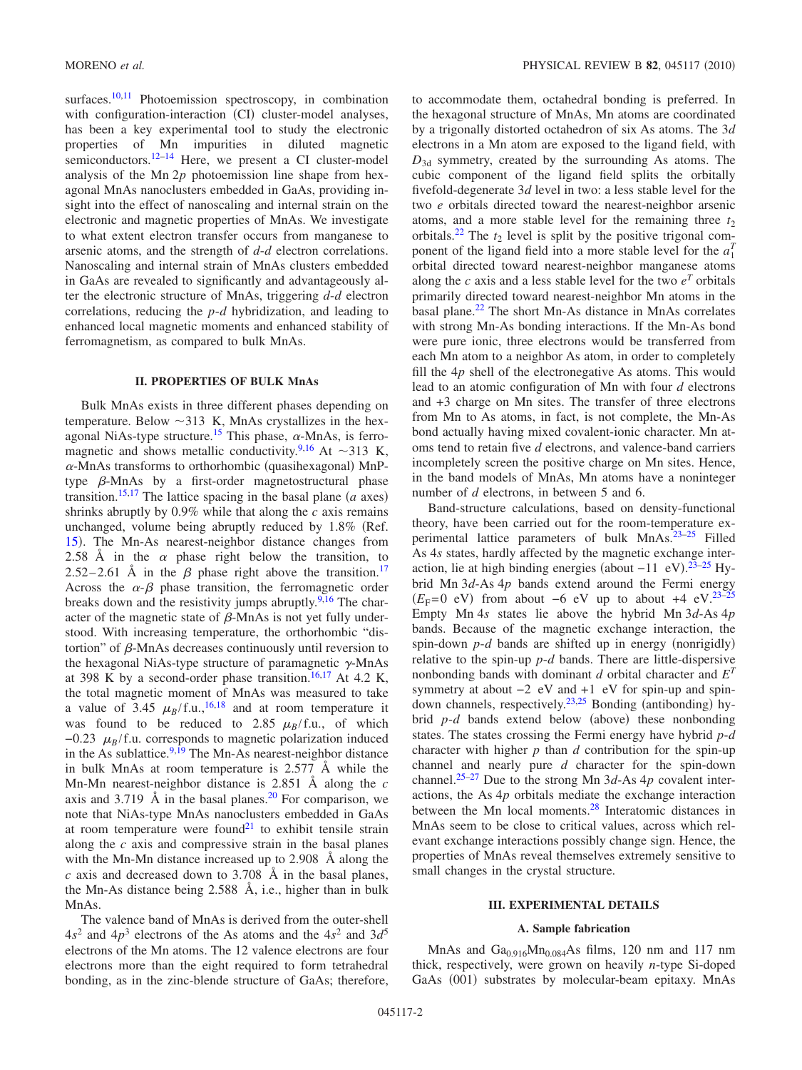surfaces.<sup>10[,11](#page-9-10)</sup> Photoemission spectroscopy, in combination with configuration-interaction (CI) cluster-model analyses, has been a key experimental tool to study the electronic properties of Mn impurities in diluted magnetic semiconductors.<sup>12–[14](#page-9-12)</sup> Here, we present a CI cluster-model analysis of the Mn 2*p* photoemission line shape from hexagonal MnAs nanoclusters embedded in GaAs, providing insight into the effect of nanoscaling and internal strain on the electronic and magnetic properties of MnAs. We investigate to what extent electron transfer occurs from manganese to arsenic atoms, and the strength of *d*-*d* electron correlations. Nanoscaling and internal strain of MnAs clusters embedded in GaAs are revealed to significantly and advantageously alter the electronic structure of MnAs, triggering *d*-*d* electron correlations, reducing the *p*-*d* hybridization, and leading to enhanced local magnetic moments and enhanced stability of ferromagnetism, as compared to bulk MnAs.

# **II. PROPERTIES OF BULK MnAs**

Bulk MnAs exists in three different phases depending on temperature. Below  $\sim$ 313 K, MnAs crystallizes in the hexagonal NiAs-type structure.<sup>15</sup> This phase,  $\alpha$ -MnAs, is ferro-magnetic and shows metallic conductivity.<sup>9[,16](#page-9-14)</sup> At  $\sim$ 313 K,  $\alpha$ -MnAs transforms to orthorhombic (quasihexagonal) MnPtype  $\beta$ -MnAs by a first-order magnetostructural phase transition.<sup>15[,17](#page-9-15)</sup> The lattice spacing in the basal plane  $(a \text{ axes})$ shrinks abruptly by 0.9% while that along the *c* axis remains unchanged, volume being abruptly reduced by 1.8% (Ref. [15](#page-9-13)). The Mn-As nearest-neighbor distance changes from 2.58 Å in the  $\alpha$  phase right below the transition, to 2.52–2.61 Å in the  $\beta$  phase right above the transition.<sup>17</sup> Across the  $\alpha-\beta$  phase transition, the ferromagnetic order breaks down and the resistivity jumps abruptly. $9,16$  $9,16$  The character of the magnetic state of  $\beta$ -MnAs is not yet fully understood. With increasing temperature, the orthorhombic "distortion" of  $\beta$ -MnAs decreases continuously until reversion to the hexagonal NiAs-type structure of paramagnetic  $\gamma$ -MnAs at 398 K by a second-order phase transition.<sup>16,[17](#page-9-15)</sup> At 4.2 K, the total magnetic moment of MnAs was measured to take a value of 3.45  $\mu_B$ /f.u.,<sup>16[,18](#page-9-16)</sup> and at room temperature it was found to be reduced to 2.85  $\mu_B/f.u.,$  of which  $-0.23 \mu_B/f.u.$  corresponds to magnetic polarization induced in the As sublattice. $9,19$  $9,19$  The Mn-As nearest-neighbor distance in bulk MnAs at room temperature is 2.577 Å while the Mn-Mn nearest-neighbor distance is 2.851 Å along the *c* axis and  $3.719 \text{ Å}$  in the basal planes.<sup>20</sup> For comparison, we note that NiAs-type MnAs nanoclusters embedded in GaAs at room temperature were found<sup>21</sup> to exhibit tensile strain along the *c* axis and compressive strain in the basal planes with the Mn-Mn distance increased up to 2.908 Å along the *c* axis and decreased down to 3.708 Å in the basal planes, the Mn-As distance being 2.588 Å, i.e., higher than in bulk MnAs.

The valence band of MnAs is derived from the outer-shell  $4s<sup>2</sup>$  and  $4p<sup>3</sup>$  electrons of the As atoms and the  $4s<sup>2</sup>$  and  $3d<sup>5</sup>$ electrons of the Mn atoms. The 12 valence electrons are four electrons more than the eight required to form tetrahedral bonding, as in the zinc-blende structure of GaAs; therefore,

to accommodate them, octahedral bonding is preferred. In the hexagonal structure of MnAs, Mn atoms are coordinated by a trigonally distorted octahedron of six As atoms. The 3*d* electrons in a Mn atom are exposed to the ligand field, with  $D_{3d}$  symmetry, created by the surrounding As atoms. The cubic component of the ligand field splits the orbitally fivefold-degenerate 3*d* level in two: a less stable level for the two *e* orbitals directed toward the nearest-neighbor arsenic atoms, and a more stable level for the remaining three  $t_2$ orbitals.<sup>22</sup> The  $t_2$  level is split by the positive trigonal component of the ligand field into a more stable level for the  $a_1^T$ orbital directed toward nearest-neighbor manganese atoms along the *c* axis and a less stable level for the two  $e^T$  orbitals primarily directed toward nearest-neighbor Mn atoms in the basal plane[.22](#page-9-20) The short Mn-As distance in MnAs correlates with strong Mn-As bonding interactions. If the Mn-As bond were pure ionic, three electrons would be transferred from each Mn atom to a neighbor As atom, in order to completely fill the 4*p* shell of the electronegative As atoms. This would lead to an atomic configuration of Mn with four *d* electrons and +3 charge on Mn sites. The transfer of three electrons from Mn to As atoms, in fact, is not complete, the Mn-As bond actually having mixed covalent-ionic character. Mn atoms tend to retain five *d* electrons, and valence-band carriers incompletely screen the positive charge on Mn sites. Hence, in the band models of MnAs, Mn atoms have a noninteger number of *d* electrons, in between 5 and 6.

Band-structure calculations, based on density-functional theory, have been carried out for the room-temperature experimental lattice parameters of bulk MnAs.<sup>23-25</sup> Filled As 4*s* states, hardly affected by the magnetic exchange interaction, lie at high binding energies (about  $-11$  eV).<sup>[23](#page-9-21)[–25](#page-9-22)</sup> Hybrid Mn 3*d*-As 4*p* bands extend around the Fermi energy  $(E_F=0 \text{ eV})$  from about −6 eV up to about +4 eV.<sup>23[–25](#page-9-22)</sup> Empty Mn 4*s* states lie above the hybrid Mn 3*d*-As 4*p* bands. Because of the magnetic exchange interaction, the spin-down  $p-d$  bands are shifted up in energy (nonrigidly) relative to the spin-up *p*-*d* bands. There are little-dispersive nonbonding bands with dominant *d* orbital character and *E<sup>T</sup>* symmetry at about  $-2$  eV and  $+1$  eV for spin-up and spin-down channels, respectively.<sup>23,[25](#page-9-22)</sup> Bonding (antibonding) hybrid  $p-d$  bands extend below (above) these nonbonding states. The states crossing the Fermi energy have hybrid *p*-*d* character with higher *p* than *d* contribution for the spin-up channel and nearly pure *d* character for the spin-down channel[.25](#page-9-22)[–27](#page-10-0) Due to the strong Mn 3*d*-As 4*p* covalent interactions, the As 4*p* orbitals mediate the exchange interaction between the Mn local moments.<sup>28</sup> Interatomic distances in MnAs seem to be close to critical values, across which relevant exchange interactions possibly change sign. Hence, the properties of MnAs reveal themselves extremely sensitive to small changes in the crystal structure.

#### **III. EXPERIMENTAL DETAILS**

### **A. Sample fabrication**

MnAs and  $Ga<sub>0.916</sub>Mn<sub>0.084</sub>As films, 120 nm and 117 nm$ thick, respectively, were grown on heavily *n*-type Si-doped GaAs (001) substrates by molecular-beam epitaxy. MnAs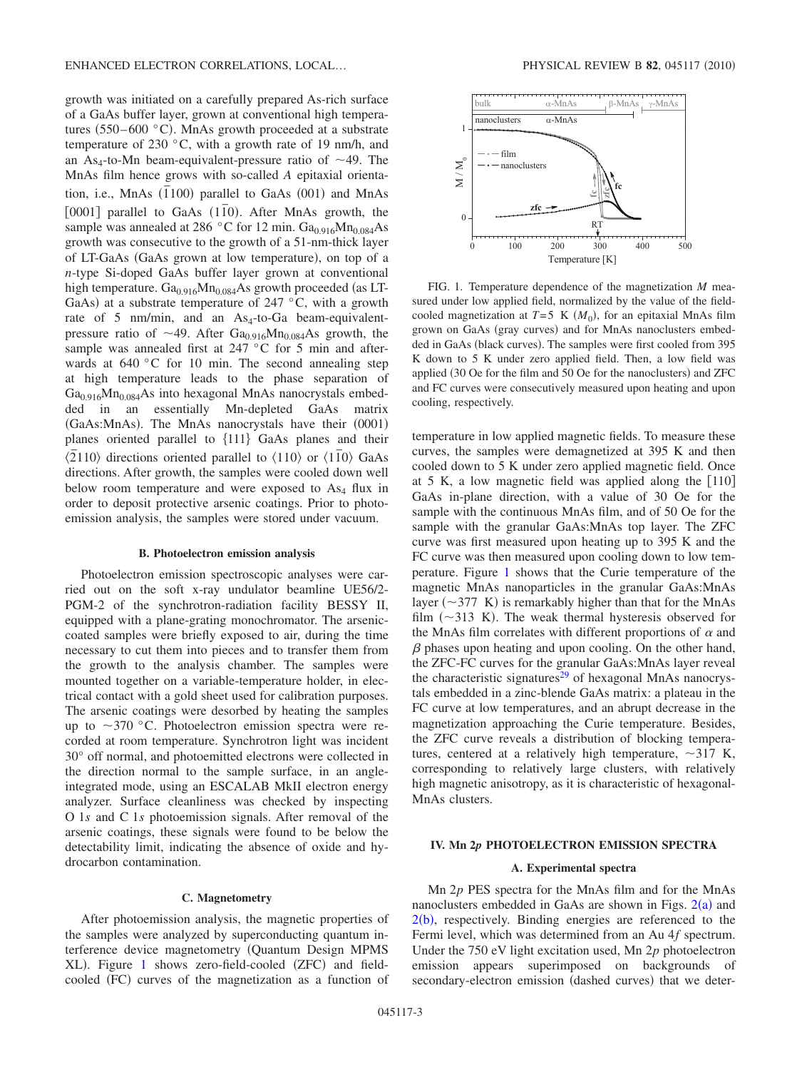growth was initiated on a carefully prepared As-rich surface of a GaAs buffer layer, grown at conventional high temperatures  $(550-600 \degree C)$ . MnAs growth proceeded at a substrate temperature of 230 °C, with a growth rate of 19 nm/h, and an As<sub>4</sub>-to-Mn beam-equivalent-pressure ratio of  $\sim$ 49. The MnAs film hence grows with so-called *A* epitaxial orientation, i.e., MnAs  $(\overline{1}100)$  parallel to GaAs (001) and MnAs [0001] parallel to GaAs (1<sup>1</sup><sup>o</sup>). After MnAs growth, the sample was annealed at 286 °C for 12 min.  $Ga<sub>0.916</sub>Mn<sub>0.084</sub>As$ growth was consecutive to the growth of a 51-nm-thick layer of LT-GaAs (GaAs grown at low temperature), on top of a *n*-type Si-doped GaAs buffer layer grown at conventional high temperature.  $Ga_{0.916}Mn_{0.084}As$  growth proceeded (as LT-GaAs) at a substrate temperature of 247  $\degree$ C, with a growth rate of 5 nm/min, and an  $As_4$ -to-Ga beam-equivalentpressure ratio of  $\sim$ 49. After Ga<sub>0.916</sub>Mn<sub>0.084</sub>As growth, the sample was annealed first at 247 °C for 5 min and afterwards at 640 °C for 10 min. The second annealing step at high temperature leads to the phase separation of  $Ga<sub>0.916</sub>Mn<sub>0.084</sub>As$  into hexagonal MnAs nanocrystals embedded in an essentially Mn-depleted GaAs matrix (GaAs:MnAs). The MnAs nanocrystals have their (0001) planes oriented parallel to  ${111}$  GaAs planes and their  $\sqrt{2}110\rangle$  directions oriented parallel to  $\langle 110 \rangle$  or  $\langle 1\overline{1}0 \rangle$  GaAs directions. After growth, the samples were cooled down well below room temperature and were exposed to  $As<sub>4</sub>$  flux in order to deposit protective arsenic coatings. Prior to photoemission analysis, the samples were stored under vacuum.

#### **B. Photoelectron emission analysis**

Photoelectron emission spectroscopic analyses were carried out on the soft x-ray undulator beamline UE56/2- PGM-2 of the synchrotron-radiation facility BESSY II, equipped with a plane-grating monochromator. The arseniccoated samples were briefly exposed to air, during the time necessary to cut them into pieces and to transfer them from the growth to the analysis chamber. The samples were mounted together on a variable-temperature holder, in electrical contact with a gold sheet used for calibration purposes. The arsenic coatings were desorbed by heating the samples up to  $\sim$ 370 °C. Photoelectron emission spectra were recorded at room temperature. Synchrotron light was incident 30° off normal, and photoemitted electrons were collected in the direction normal to the sample surface, in an angleintegrated mode, using an ESCALAB MkII electron energy analyzer. Surface cleanliness was checked by inspecting O 1*s* and C 1*s* photoemission signals. After removal of the arsenic coatings, these signals were found to be below the detectability limit, indicating the absence of oxide and hydrocarbon contamination.

#### **C. Magnetometry**

After photoemission analysis, the magnetic properties of the samples were analyzed by superconducting quantum interference device magnetometry Quantum Design MPMS XL). Figure [1](#page-2-0) shows zero-field-cooled (ZFC) and fieldcooled (FC) curves of the magnetization as a function of

<span id="page-2-0"></span>

FIG. 1. Temperature dependence of the magnetization *M* measured under low applied field, normalized by the value of the fieldcooled magnetization at  $T=5$  K  $(M_0)$ , for an epitaxial MnAs film grown on GaAs (gray curves) and for MnAs nanoclusters embedded in GaAs (black curves). The samples were first cooled from 395 K down to 5 K under zero applied field. Then, a low field was applied (30 Oe for the film and 50 Oe for the nanoclusters) and ZFC and FC curves were consecutively measured upon heating and upon cooling, respectively.

temperature in low applied magnetic fields. To measure these curves, the samples were demagnetized at 395 K and then cooled down to 5 K under zero applied magnetic field. Once at 5 K, a low magnetic field was applied along the  $\lceil 110 \rceil$ GaAs in-plane direction, with a value of 30 Oe for the sample with the continuous MnAs film, and of 50 Oe for the sample with the granular GaAs:MnAs top layer. The ZFC curve was first measured upon heating up to 395 K and the FC curve was then measured upon cooling down to low temperature. Figure [1](#page-2-0) shows that the Curie temperature of the magnetic MnAs nanoparticles in the granular GaAs:MnAs layer ( $\sim$ 377 K) is remarkably higher than that for the MnAs film  $(\sim 313 \text{ K})$ . The weak thermal hysteresis observed for the MnAs film correlates with different proportions of  $\alpha$  and  $\beta$  phases upon heating and upon cooling. On the other hand, the ZFC-FC curves for the granular GaAs:MnAs layer reveal the characteristic signatures<sup>29</sup> of hexagonal MnAs nanocrystals embedded in a zinc-blende GaAs matrix: a plateau in the FC curve at low temperatures, and an abrupt decrease in the magnetization approaching the Curie temperature. Besides, the ZFC curve reveals a distribution of blocking temperatures, centered at a relatively high temperature,  $\sim$ 317 K, corresponding to relatively large clusters, with relatively high magnetic anisotropy, as it is characteristic of hexagonal-MnAs clusters.

# **IV. Mn 2***p* **PHOTOELECTRON EMISSION SPECTRA**

## **A. Experimental spectra**

Mn 2*p* PES spectra for the MnAs film and for the MnAs nanoclusters embedded in GaAs are shown in Figs.  $2(a)$  $2(a)$  and  $2(b)$  $2(b)$ , respectively. Binding energies are referenced to the Fermi level, which was determined from an Au 4*f* spectrum. Under the 750 eV light excitation used, Mn 2*p* photoelectron emission appears superimposed on backgrounds of secondary-electron emission (dashed curves) that we deter-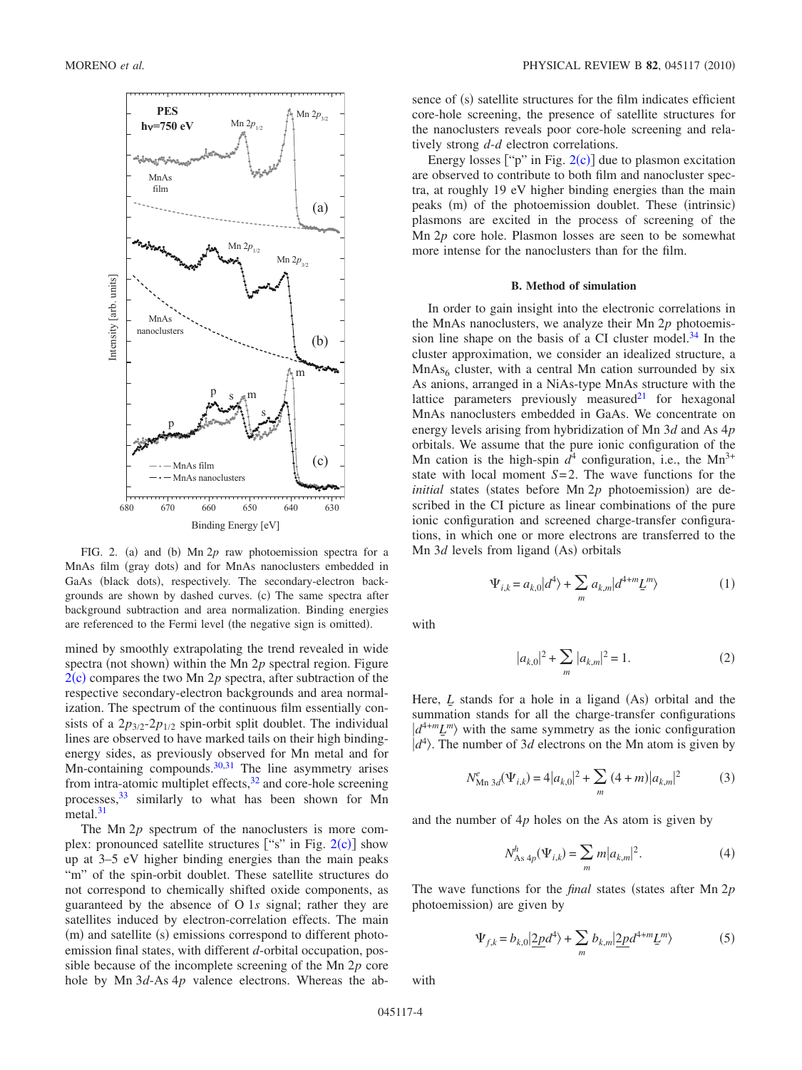<span id="page-3-0"></span>

FIG. 2. (a) and (b)  $Mn 2p$  raw photoemission spectra for a MnAs film (gray dots) and for MnAs nanoclusters embedded in GaAs (black dots), respectively. The secondary-electron backgrounds are shown by dashed curves. (c) The same spectra after background subtraction and area normalization. Binding energies are referenced to the Fermi level (the negative sign is omitted).

mined by smoothly extrapolating the trend revealed in wide spectra (not shown) within the Mn  $2p$  spectral region. Figure  $2(c)$  $2(c)$  compares the two Mn 2p spectra, after subtraction of the respective secondary-electron backgrounds and area normalization. The spectrum of the continuous film essentially consists of a  $2p_{3/2}$ - $2p_{1/2}$  spin-orbit split doublet. The individual lines are observed to have marked tails on their high bindingenergy sides, as previously observed for Mn metal and for Mn-containing compounds. $30,31$  $30,31$  The line asymmetry arises from intra-atomic multiplet effects, $32$  and core-hole screening processes,  $33 \sinilarly$  to what has been shown for Mn metal. $31$ 

The Mn 2*p* spectrum of the nanoclusters is more complex: pronounced satellite structures ["s" in Fig.  $2(c)$  $2(c)$ ] show up at 3–5 eV higher binding energies than the main peaks "m" of the spin-orbit doublet. These satellite structures do not correspond to chemically shifted oxide components, as guaranteed by the absence of O 1*s* signal; rather they are satellites induced by electron-correlation effects. The main (m) and satellite (s) emissions correspond to different photoemission final states, with different *d*-orbital occupation, possible because of the incomplete screening of the Mn 2*p* core hole by Mn 3*d*-As 4*p* valence electrons. Whereas the ab-

sence of (s) satellite structures for the film indicates efficient core-hole screening, the presence of satellite structures for the nanoclusters reveals poor core-hole screening and relatively strong *d*-*d* electron correlations.

Energy losses  $[$ "p" in Fig. [2](#page-3-0)(c)] due to plasmon excitation are observed to contribute to both film and nanocluster spectra, at roughly 19 eV higher binding energies than the main peaks (m) of the photoemission doublet. These (intrinsic) plasmons are excited in the process of screening of the Mn 2*p* core hole. Plasmon losses are seen to be somewhat more intense for the nanoclusters than for the film.

# **B. Method of simulation**

In order to gain insight into the electronic correlations in the MnAs nanoclusters, we analyze their Mn 2*p* photoemission line shape on the basis of a CI cluster model. $34$  In the cluster approximation, we consider an idealized structure, a  $MnAs<sub>6</sub> cluster, with a central Mn cation surrounded by six$ As anions, arranged in a NiAs-type MnAs structure with the lattice parameters previously measured $21$  for hexagonal MnAs nanoclusters embedded in GaAs. We concentrate on energy levels arising from hybridization of Mn 3*d* and As 4*p* orbitals. We assume that the pure ionic configuration of the Mn cation is the high-spin  $d^4$  configuration, i.e., the Mn<sup>3+</sup> state with local moment *S*=2. The wave functions for the  $initial$  states (states before Mn  $2p$  photoemission) are described in the CI picture as linear combinations of the pure ionic configuration and screened charge-transfer configurations, in which one or more electrons are transferred to the Mn 3*d* levels from ligand (As) orbitals

$$
\Psi_{i,k} = a_{k,0} |d^4\rangle + \sum_m a_{k,m} |d^{4+m} \underline{L}^m\rangle \tag{1}
$$

with

$$
|a_{k,0}|^2 + \sum_{m} |a_{k,m}|^2 = 1.
$$
 (2)

Here,  $L$  stands for a hole in a ligand  $(As)$  orbital and the summation stands for all the charge-transfer configurations  $\langle d^{4+m} \underline{L}^m \rangle$  with the same symmetry as the ionic configuration  $\ket{d^4}$ . The number of 3*d* electrons on the Mn atom is given by

$$
N_{\text{Mn 3d}}^{e}(\Psi_{i,k}) = 4|a_{k,0}|^{2} + \sum_{m} (4+m)|a_{k,m}|^{2}
$$
 (3)

and the number of 4*p* holes on the As atom is given by

$$
N_{As\;4p}^h(\Psi_{i,k}) = \sum_m m |a_{k,m}|^2.
$$
 (4)

The wave functions for the *final* states (states after Mn 2*p* photoemission) are given by

$$
\Psi_{f,k} = b_{k,0} | \underline{2pd}^4 \rangle + \sum_m b_{k,m} | \underline{2pd}^{4+m} \underline{L}^m \rangle \tag{5}
$$

with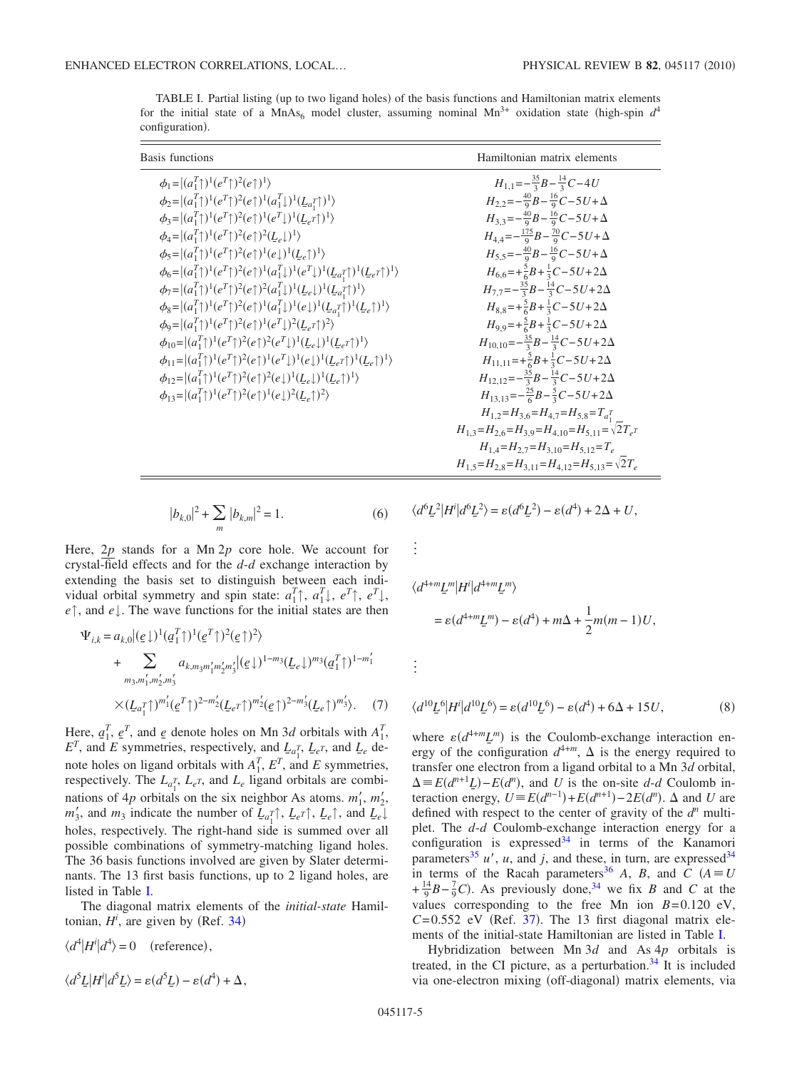<span id="page-4-0"></span>TABLE I. Partial listing (up to two ligand holes) of the basis functions and Hamiltonian matrix elements for the initial state of a MnAs<sub>6</sub> model cluster, assuming nominal Mn<sup>3+</sup> oxidation state (high-spin  $d^4$ configuration).

| <b>Basis functions</b>                                                                                                                                                                                                                                                                                                                                                                                                                                                                                                                                                                                                                                                                                                                                                                                                                                                                                                                                                                                                                                                                                                                                                                                                                                                                                                                                                                                                                                                                                                                                                                                       | Hamiltonian matrix elements                                                                                                                                                                                                                                                                                                                                                                                                                                                                                                                                                                                                                                                                                                                                                                                                                                                                                                                                                                                                                                    |  |  |  |  |  |
|--------------------------------------------------------------------------------------------------------------------------------------------------------------------------------------------------------------------------------------------------------------------------------------------------------------------------------------------------------------------------------------------------------------------------------------------------------------------------------------------------------------------------------------------------------------------------------------------------------------------------------------------------------------------------------------------------------------------------------------------------------------------------------------------------------------------------------------------------------------------------------------------------------------------------------------------------------------------------------------------------------------------------------------------------------------------------------------------------------------------------------------------------------------------------------------------------------------------------------------------------------------------------------------------------------------------------------------------------------------------------------------------------------------------------------------------------------------------------------------------------------------------------------------------------------------------------------------------------------------|----------------------------------------------------------------------------------------------------------------------------------------------------------------------------------------------------------------------------------------------------------------------------------------------------------------------------------------------------------------------------------------------------------------------------------------------------------------------------------------------------------------------------------------------------------------------------------------------------------------------------------------------------------------------------------------------------------------------------------------------------------------------------------------------------------------------------------------------------------------------------------------------------------------------------------------------------------------------------------------------------------------------------------------------------------------|--|--|--|--|--|
| $\phi_1 =  (a_1^T \uparrow)^1(e^T \uparrow)^2(e \uparrow)^1\rangle$<br>$\phi_2 =  (a_1^T\uparrow)^1(e^T\uparrow)^2(e\uparrow)^1(a_1^T\downarrow)^1(\underline{L}_{a_1^T}\uparrow)^1\rangle$<br>$\phi_3 =  (a_1^T\uparrow)^1(e^T\uparrow)^2(e\uparrow)^1(e^T\downarrow)^1(L_e\uparrow)^1\rangle$<br>$\phi_4 =  (a_1^T \uparrow)^1 (e^T \uparrow)^2 (e \uparrow)^2 (L_e \downarrow)^1 \rangle$<br>$\phi_5 =  (a_1^T)^1(e^T)^2(e_1^T)^1(e_1^T)^1(L_e^T)^1\rangle$<br>$\phi_6\hspace{-.1cm}=\hspace{-.1cm} \hspace{-.1cm}(a_1^T\hspace{-.1cm}\uparrow)^1(e^T\hspace{-.1cm}\uparrow)^2(e\hspace{-.1cm}\uparrow)^1(a_1^T\hspace{-.1cm}\downarrow)^1(e^T\hspace{-.1cm}\downarrow)^1(\underline{L}_{a_1^T}\hspace{-.1cm}\uparrow)^1(\underline{L}_{e^T}\hspace{-.1cm}\uparrow)^1\rangle$<br>$\phi_7 =  (a_1^T\uparrow)^1(e^T\uparrow)^2(e\uparrow)^2(a_1^T\downarrow)^1(L_e\downarrow)^1(L_a\uparrow)^1\rangle$<br>$\phi_8 =  (a_1^T\uparrow)^1(e^T\uparrow)^2(e\uparrow)^1(a_1^T\downarrow)^1(e\downarrow)^1(\underline{L}_{a_1^T}\uparrow)^1(\underline{L}_e\uparrow)^1\rangle$<br>$\phi_0 =  (a_1^T \uparrow)^1(e^T \uparrow)^2(e \uparrow)^1(e^T \downarrow)^2(L_e \uparrow)^2\rangle$<br>$\phi_{10} =  (a_1^T)^1(e^T)^2(e^T)^2(e^T)^1(L_e^T)^1(L_e^T)^1\rangle$<br>$\phi_{11} =  (a_1^T \uparrow)^1 (e^T \uparrow)^2 (e \uparrow)^1 (e^T \downarrow)^1 (e \downarrow)^1 (L_e \uparrow)^1 (L_e \uparrow)^1 \rangle$<br>$\phi_{12} =  (a_1^T)^1(e^T)^2(e_1^T)^2(e_1^T)^1(L_e^T)^1(E_e^T)^1\rangle$<br>$\phi_{13} =  (a_1^T \uparrow)^1 (e^T \uparrow)^2 (e \uparrow)^1 (e \downarrow)^2 (L_e \uparrow)^2 \rangle$ | $H_{1,1} = -\frac{35}{3}B - \frac{14}{3}C - 4U$<br>$H_{2,2} = -\frac{40}{9}B - \frac{16}{9}C - 5U + \Delta$<br>$H_{3,3} = -\frac{40}{9}B - \frac{16}{9}C - 5U + \Delta$<br>$H_{4,4} = -\frac{175}{9}B - \frac{70}{9}C - 5U + \Delta$<br>$H_{5.5} = -\frac{40}{9}B - \frac{16}{9}C - 5U + \Delta$<br>$H_{6.6} = +\frac{5}{6}B + \frac{1}{3}C - 5U + 2\Delta$<br>$H_{7.7} = -\frac{35}{3}B - \frac{14}{3}C - 5U + 2\Delta$<br>$H_{8,8} = +\frac{5}{6}B + \frac{1}{3}C - 5U + 2\Delta$<br>$H_{9,9} = +\frac{5}{6}B + \frac{1}{3}C - 5U + 2\Delta$<br>$H_{10.10} = -\frac{35}{3}B - \frac{14}{3}C - 5U + 2\Delta$<br>$H_{11,11} = +\frac{5}{6}B + \frac{1}{3}C - 5U + 2\Delta$<br>$H_{12,12} = -\frac{35}{3}B - \frac{14}{3}C - 5U + 2\Delta$<br>$H_{13,13} = -\frac{25}{6}B - \frac{5}{3}C - 5U + 2\Delta$<br>$H_{1,2} = H_{3,6} = H_{4,7} = H_{5,8} = T_{a_1}^T$<br>$H_{1,3} = H_{2,6} = H_{3,9} = H_{4,10} = H_{5,11} = \sqrt{2}T_{e}$<br>$H_{1.4} = H_{2.7} = H_{3.10} = H_{5.12} = T_e$<br>$H_{1,5} = H_{2,8} = H_{3,11} = H_{4,12} = H_{5,13} = \sqrt{2}T_e$ |  |  |  |  |  |
|                                                                                                                                                                                                                                                                                                                                                                                                                                                                                                                                                                                                                                                                                                                                                                                                                                                                                                                                                                                                                                                                                                                                                                                                                                                                                                                                                                                                                                                                                                                                                                                                              |                                                                                                                                                                                                                                                                                                                                                                                                                                                                                                                                                                                                                                                                                                                                                                                                                                                                                                                                                                                                                                                                |  |  |  |  |  |

$$
|b_{k,0}|^2 + \sum_{m} |b_{k,m}|^2 = 1.
$$
 (6)

Here, 2*p* stands for a Mn 2*p* core hole. We account for crystal-field effects and for the *d*-*d* exchange interaction by extending the basis set to distinguish between each individual orbital symmetry and spin state:  $a_1^T$ ,  $a_1^T$ ,  $e^T$ ,  $e^T$ ,  $e^T$ , *e*↑, and *e*↓. The wave functions for the initial states are then

$$
\Psi_{i,k} = a_{k,0} |(\underline{e}\downarrow)^{1} (\underline{a}_{1}^{T}\uparrow)^{1} (\underline{e}^{T}\uparrow)^{2} (\underline{e}\uparrow)^{2} \rangle
$$
  
+ 
$$
\sum_{m_{3},m'_{1},m'_{2},m'_{3}} a_{k,m_{3}m'_{1}m'_{2}m'_{3}} |(\underline{e}\downarrow)^{1-m_{3}} (\underline{L}_{e}\downarrow)^{m_{3}} (\underline{a}_{1}^{T}\uparrow)^{1-m'_{1}}
$$
  

$$
\times (\underline{L}_{a_{1}^{T}\uparrow})^{m'_{1}} (\underline{e}^{T}\uparrow)^{2-m'_{2}} (\underline{L}_{e}^{T}\uparrow)^{m'_{2}} (\underline{e}\uparrow)^{2-m'_{3}} (\underline{L}_{e}\uparrow)^{m'_{3}} \rangle. \tag{7}
$$

Here,  $a_1^T$ ,  $e^T$ , and  $e$  denote holes on Mn 3*d* orbitals with  $A_1^T$ ,  $E^T$ , and *E* symmetries, respectively, and *L<sub>e</sub>*<sup>*T*</sup>, *L<sub>e</sub><sup>T</sup>*, *and L<sub>e</sub>* denote holes on ligand orbitals with  $A_1^T$ ,  $E^T$ , and  $E$  symmetries, respectively. The  $L_{a_1^T}$ ,  $L_{e^T}$ , and  $L_e$  ligand orbitals are combinations of 4*p* orbitals on the six neighbor As atoms.  $m'_1$ ,  $m'_2$ ,  $m'_3$ , and  $m_3$  indicate the number of  $L_{a_1} \uparrow$ ,  $L_{e} \uparrow$ ,  $L_{e} \uparrow$ , and  $L_{e} \downarrow$ holes, respectively. The right-hand side is summed over all possible combinations of symmetry-matching ligand holes. The 36 basis functions involved are given by Slater determinants. The 13 first basis functions, up to 2 ligand holes, are listed in Table [I.](#page-4-0)

The diagonal matrix elements of the *initial-state* Hamiltonian,  $H^i$ , are given by (Ref. [34](#page-10-7))

$$
\langle d^4 | H^i | d^4 \rangle = 0 \quad \text{(reference)},
$$
  

$$
\langle d^5 \underline{L} | H^i | d^5 \underline{L} \rangle = \varepsilon (d^5 \underline{L}) - \varepsilon (d^4) + \Delta,
$$

$$
\langle d^6 \underline{L}^2 | H^i | d^6 \underline{L}^2 \rangle = \varepsilon (d^6 \underline{L}^2) - \varepsilon (d^4) + 2\Delta + U,
$$

 $\vdots$ 

$$
\langle d^{4+m} \underline{L}^m | H^i | d^{4+m} \underline{L}^m \rangle
$$
  
=  $\varepsilon (d^{4+m} \underline{L}^m) - \varepsilon (d^4) + m\Delta + \frac{1}{2}m(m-1)U,$ 

 $\vdots$ 

$$
\langle d^{10}\underline{L}^6|H^i|d^{10}\underline{L}^6\rangle = \varepsilon(d^{10}\underline{L}^6) - \varepsilon(d^4) + 6\Delta + 15U,\tag{8}
$$

where  $\varepsilon (d^{4+m} \underline{L}^m)$  is the Coulomb-exchange interaction energy of the configuration  $d^{4+m}$ ,  $\Delta$  is the energy required to transfer one electron from a ligand orbital to a Mn 3*d* orbital,  $\Delta \equiv E(d^{n+1}L) - E(d^n)$ , and *U* is the on-site *d-d* Coulomb interaction energy,  $U = E(d^{n-1}) + E(d^{n+1}) - 2E(d^n)$ .  $\Delta$  and  $U$  are defined with respect to the center of gravity of the  $d^n$  multiplet. The *d*-*d* Coulomb-exchange interaction energy for a configuration is expressed $34$  in terms of the Kanamori parameters<sup>35</sup>  $u'$ ,  $u$ , and  $j$ , and these, in turn, are expressed<sup>34</sup> in terms of the Racah parameters<sup>36</sup> *A*, *B*, and  $\overline{C}$  ( $A \equiv U$  $+\frac{14}{9}B-\frac{7}{9}C$ . As previously done,<sup>34</sup> we fix *B* and *C* at the values corresponding to the free Mn ion  $B=0.120$  eV,  $C=0.552$  eV (Ref. [37](#page-10-10)). The 13 first diagonal matrix elements of the initial-state Hamiltonian are listed in Table [I.](#page-4-0)

Hybridization between Mn 3*d* and As 4*p* orbitals is treated, in the CI picture, as a perturbation. $34$  It is included via one-electron mixing (off-diagonal) matrix elements, via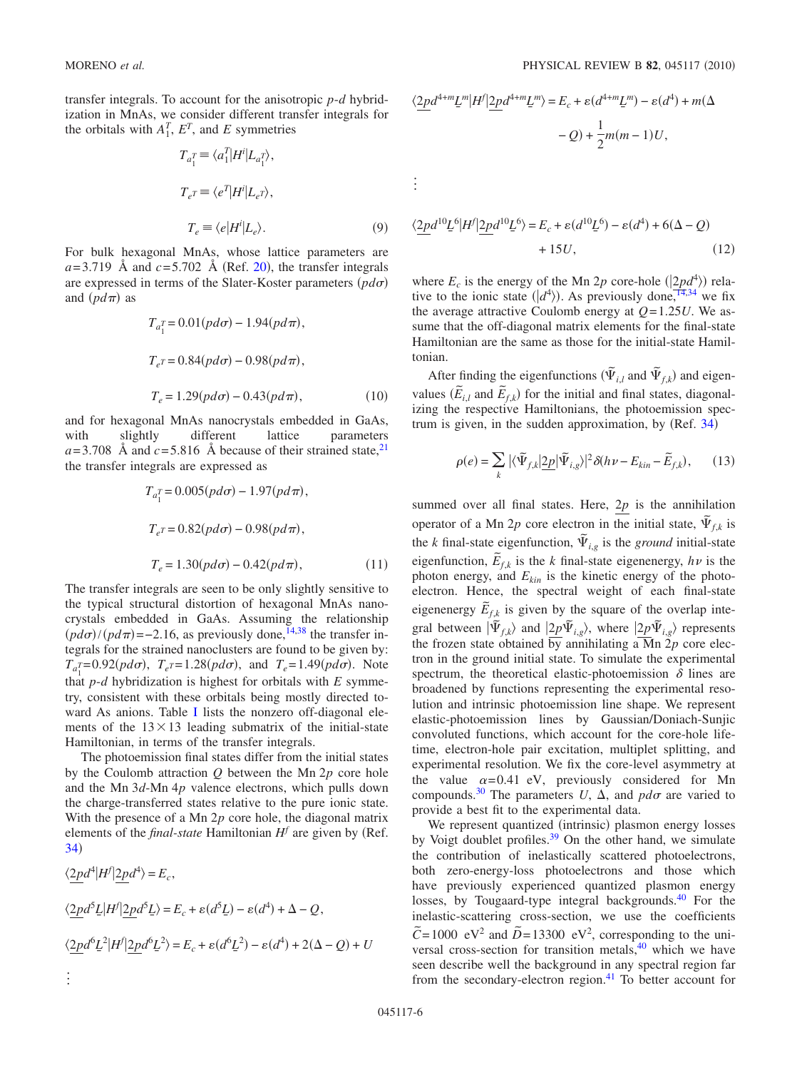transfer integrals. To account for the anisotropic *p*-*d* hybridization in MnAs, we consider different transfer integrals for the orbitals with  $A_1^T$ ,  $E^T$ , and  $E$  symmetries

$$
T_{a_1^T} \equiv \langle a_1^T | H^i | L_{a_1^T} \rangle,
$$
  
\n
$$
T_{e^T} \equiv \langle e^T | H^i | L_{e^T} \rangle,
$$
  
\n
$$
T_e \equiv \langle e | H^i | L_e \rangle.
$$
 (9)

For bulk hexagonal MnAs, whose lattice parameters are  $a=3.719$  Å and  $c=5.702$  Å (Ref. [20](#page-9-18)), the transfer integrals are expressed in terms of the Slater-Koster parameters (pdo) and  $(p d\pi)$  as

$$
T_{a_1^T} = 0.01(p d\sigma) - 1.94(p d\pi),
$$
  
\n
$$
T_{e^T} = 0.84(p d\sigma) - 0.98(p d\pi),
$$
  
\n
$$
T_e = 1.29(p d\sigma) - 0.43(p d\pi),
$$
\n(10)

and for hexagonal MnAs nanocrystals embedded in GaAs, with slightly different lattice parameters  $a=3.708$  Å and  $c=5.816$  Å because of their strained state, <sup>21</sup> the transfer integrals are expressed as

$$
T_{a_1^T} = 0.005(p d\sigma) - 1.97(p d\pi),
$$
  
\n
$$
T_{e^T} = 0.82(p d\sigma) - 0.98(p d\pi),
$$
  
\n
$$
T_e = 1.30(p d\sigma) - 0.42(p d\pi),
$$
\n(11)

The transfer integrals are seen to be only slightly sensitive to the typical structural distortion of hexagonal MnAs nanocrystals embedded in GaAs. Assuming the relationship  $(pd\sigma)/(pd\pi)$ =-2.16, as previously done,<sup>14,[38](#page-10-11)</sup> the transfer integrals for the strained nanoclusters are found to be given by:  $T_{a_1^T} = 0.92(p d\sigma)$ ,  $T_{e^T} = 1.28(p d\sigma)$ , and  $T_e = 1.49(p d\sigma)$ . Note that *p*-*d* hybridization is highest for orbitals with *E* symmetry, consistent with these orbitals being mostly directed to-ward As anions. Table [I](#page-4-0) lists the nonzero off-diagonal elements of the  $13 \times 13$  leading submatrix of the initial-state Hamiltonian, in terms of the transfer integrals.

The photoemission final states differ from the initial states by the Coulomb attraction *Q* between the Mn 2*p* core hole and the Mn 3*d*-Mn 4*p* valence electrons, which pulls down the charge-transferred states relative to the pure ionic state. With the presence of a Mn 2*p* core hole, the diagonal matrix elements of the *final-state* Hamiltonian  $H^f$  are given by (Ref. [34](#page-10-7))

$$
\langle \underline{2p}d^4 | H^f | \underline{2p}d^4 \rangle = E_c,
$$
  

$$
\langle \underline{2p}d^5 \underline{L} | H^f | \underline{2p}d^5 \underline{L} \rangle = E_c + \varepsilon (d^5 \underline{L}) - \varepsilon (d^4) + \Delta - Q,
$$
  

$$
\langle \underline{2p}d^6 \underline{L}^2 | H^f | \underline{2p}d^6 \underline{L}^2 \rangle = E_c + \varepsilon (d^6 \underline{L}^2) - \varepsilon (d^4) + 2(\Delta - Q) + U
$$

 $\ddot{\phantom{0}}$ 

$$
\langle \underline{2pd}^{4+m} \underline{L}^m | H^f | \underline{2pd}^{4+m} \underline{L}^m \rangle = E_c + \varepsilon (d^{4+m} \underline{L}^m) - \varepsilon (d^4) + m(\Delta - Q) + \frac{1}{2}m(m-1)U,
$$

$$
\frac{1}{\alpha}
$$

$$
\langle \underline{2p}d^{10}\underline{L}^6|H^f|\underline{2p}d^{10}\underline{L}^6\rangle = E_c + \varepsilon(d^{10}\underline{L}^6) - \varepsilon(d^4) + 6(\Delta - Q) + 15U,\tag{12}
$$

where  $E_c$  is the energy of the Mn 2*p* core-hole  $(\frac{2pd^4}{2})$  relative to the ionic state  $(|d^4\rangle)$ . As previously done, <sup>14[,34](#page-10-7)</sup> we fix the average attractive Coulomb energy at  $Q=1.25U$ . We assume that the off-diagonal matrix elements for the final-state Hamiltonian are the same as those for the initial-state Hamiltonian.

After finding the eigenfunctions  $(\tilde{\Psi}_{i,l}$  and  $\tilde{\Psi}_{f,k})$  and eigenvalues  $(\widetilde{E}_{i,l}$  and  $\widetilde{E}_{f,k})$  for the initial and final states, diagonalizing the respective Hamiltonians, the photoemission spectrum is given, in the sudden approximation, by  $(Ref. 34)$  $(Ref. 34)$  $(Ref. 34)$ 

$$
\rho(e) = \sum_{k} |\langle \tilde{\Psi}_{f,k} | \underline{2p} | \tilde{\Psi}_{i,g} \rangle|^2 \delta(h\nu - E_{kin} - \tilde{E}_{f,k}), \qquad (13)
$$

summed over all final states. Here,  $2p$  is the annihilation operator of a Mn 2*p* core electron in the initial state,  $\tilde{\Psi}_{f,k}$  is the *k* final-state eigenfunction,  $\tilde{\Psi}_{i,g}$  is the *ground* initial-state eigenfunction,  $\tilde{E}_{f,k}$  is the *k* final-state eigenenergy,  $h\nu$  is the photon energy, and  $E_{kin}$  is the kinetic energy of the photoelectron. Hence, the spectral weight of each final-state eigenenergy  $\tilde{E}_{f,k}$  is given by the square of the overlap integral between  $|\tilde{\Psi}_{f,k}\rangle$  and  $|2p\tilde{\Psi}_{i,g}\rangle$ , where  $|2p\tilde{\Psi}_{i,g}\rangle$  represents the frozen state obtained by annihilating a  $\overline{M}$ n  $\overline{2}p$  core electron in the ground initial state. To simulate the experimental spectrum, the theoretical elastic-photoemission  $\delta$  lines are broadened by functions representing the experimental resolution and intrinsic photoemission line shape. We represent elastic-photoemission lines by Gaussian/Doniach-Sunjic convoluted functions, which account for the core-hole lifetime, electron-hole pair excitation, multiplet splitting, and experimental resolution. We fix the core-level asymmetry at the value  $\alpha = 0.41$  eV, previously considered for Mn compounds.<sup>30</sup> The parameters U,  $\Delta$ , and  $pd\sigma$  are varied to provide a best fit to the experimental data.

We represent quantized (intrinsic) plasmon energy losses by Voigt doublet profiles. $39$  On the other hand, we simulate the contribution of inelastically scattered photoelectrons, both zero-energy-loss photoelectrons and those which have previously experienced quantized plasmon energy losses, by Tougaard-type integral backgrounds.<sup>40</sup> For the inelastic-scattering cross-section, we use the coefficients  $\tilde{C}$ =1000 eV<sup>2</sup> and  $\tilde{D}$ =13300 eV<sup>2</sup>, corresponding to the universal cross-section for transition metals, $40$  which we have seen describe well the background in any spectral region far from the secondary-electron region. $41$  To better account for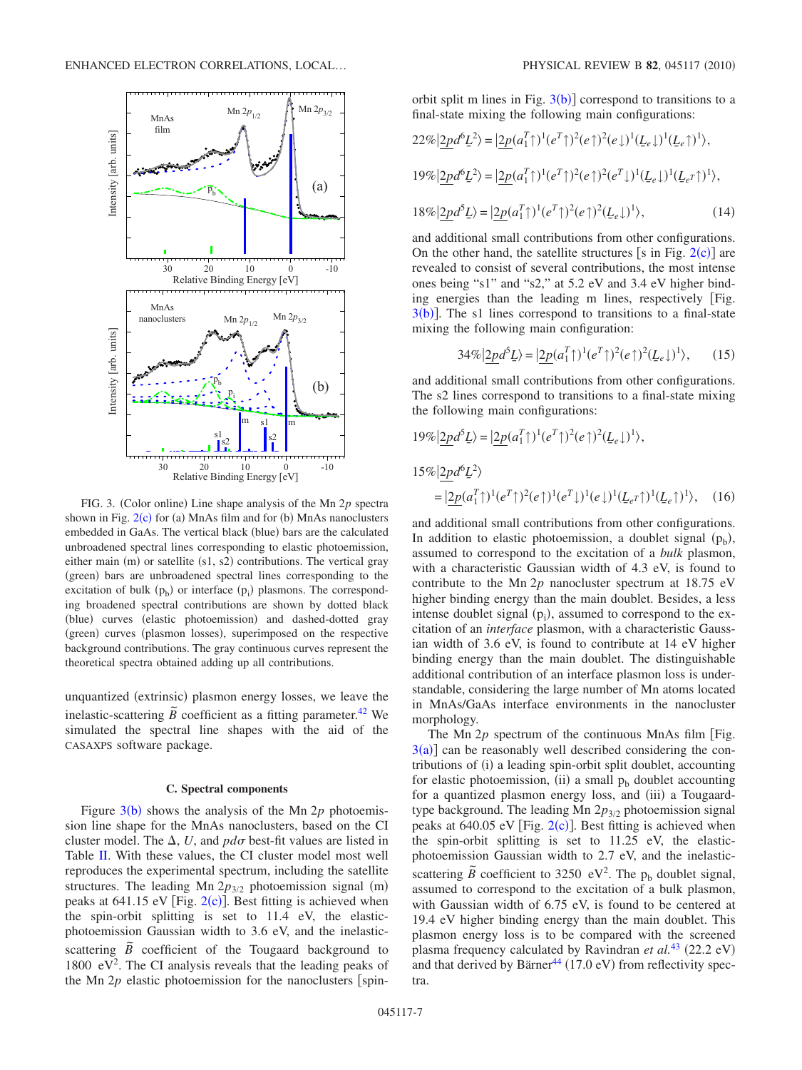<span id="page-6-0"></span>

FIG. 3. (Color online) Line shape analysis of the Mn 2p spectra shown in Fig.  $2(c)$  $2(c)$  for (a) MnAs film and for (b) MnAs nanoclusters embedded in GaAs. The vertical black (blue) bars are the calculated unbroadened spectral lines corresponding to elastic photoemission, either main (m) or satellite (s1, s2) contributions. The vertical gray (green) bars are unbroadened spectral lines corresponding to the excitation of bulk  $(p_b)$  or interface  $(p_i)$  plasmons. The corresponding broadened spectral contributions are shown by dotted black (blue) curves (elastic photoemission) and dashed-dotted gray (green) curves (plasmon losses), superimposed on the respective background contributions. The gray continuous curves represent the theoretical spectra obtained adding up all contributions.

unquantized (extrinsic) plasmon energy losses, we leave the inelastic-scattering  $\tilde{B}$  coefficient as a fitting parameter.<sup>42</sup> We simulated the spectral line shapes with the aid of the CASAXPS software package.

# **C. Spectral components**

Figure  $3(b)$  $3(b)$  shows the analysis of the Mn 2 $p$  photoemission line shape for the MnAs nanoclusters, based on the CI cluster model. The  $\Delta$ , U, and  $pd\sigma$  best-fit values are listed in Table [II.](#page-8-0) With these values, the CI cluster model most well reproduces the experimental spectrum, including the satellite structures. The leading Mn  $2p_{3/2}$  photoemission signal (m) peaks at  $641.15$  eV [Fig.  $2(c)$  $2(c)$ ]. Best fitting is achieved when the spin-orbit splitting is set to 11.4 eV, the elasticphotoemission Gaussian width to 3.6 eV, and the inelastic- $\overline{B}$  coefficient of the Tougaard background to 1800  $eV^2$ . The CI analysis reveals that the leading peaks of the Mn  $2p$  elastic photoemission for the nanoclusters [spin-

orbit split m lines in Fig.  $3(b)$  $3(b)$ ] correspond to transitions to a final-state mixing the following main configurations:

$$
22\%|\underline{2p}d^6\underline{L}^2\rangle = |\underline{2p}(a_1^T\uparrow)^1(e^T\uparrow)^2(e\uparrow)^2(e\downarrow)^1(\underline{L}_e\downarrow)^1(\underline{L}_e\uparrow)^1\rangle,
$$
  
\n
$$
19\%|\underline{2p}d^6\underline{L}^2\rangle = |\underline{2p}(a_1^T\uparrow)^1(e^T\uparrow)^2(e\uparrow)^2(e^T\downarrow)^1(\underline{L}_e\downarrow)^1(\underline{L}_e\uparrow)^1\rangle,
$$
  
\n
$$
18\%|\underline{2p}d^5\underline{L}\rangle = |\underline{2p}(a_1^T\uparrow)^1(e^T\uparrow)^2(e\uparrow)^2(\underline{L}_e\downarrow)^1\rangle,
$$
  
\n
$$
(14)
$$

and additional small contributions from other configurations. On the other hand, the satellite structures [s in Fig.  $2(c)$  $2(c)$ ] are revealed to consist of several contributions, the most intense ones being "s1" and "s2," at 5.2 eV and 3.4 eV higher binding energies than the leading m lines, respectively Fig.  $3(b)$  $3(b)$ ]. The s1 lines correspond to transitions to a final-state mixing the following main configuration:

$$
34\%|\underline{2p}d^5\underline{L}\rangle = |\underline{2p}(a_1^T\uparrow)^1(e^T\uparrow)^2(e\uparrow)^2(\underline{L}_e\downarrow)^1\rangle,\qquad(15)
$$

and additional small contributions from other configurations. The s2 lines correspond to transitions to a final-state mixing the following main configurations:

$$
19\% |2pd^5L\rangle = |2p(a_1^T\uparrow)^1(e^T\uparrow)^2(e\uparrow)^2(\underline{L}_e\downarrow)^1\rangle,
$$
  
\n
$$
15\% |2pd^6L^2\rangle
$$
  
\n
$$
= |2p(a_1^T\uparrow)^1(e^T\uparrow)^2(e\uparrow)^1(e^T\downarrow)^1(e\downarrow)^1(\underline{L}_e\uparrow)^1(\underline{L}_e\uparrow)^1\rangle, \quad (16)
$$

and additional small contributions from other configurations. In addition to elastic photoemission, a doublet signal  $(p_b)$ , assumed to correspond to the excitation of a *bulk* plasmon, with a characteristic Gaussian width of 4.3 eV, is found to contribute to the Mn 2*p* nanocluster spectrum at 18.75 eV higher binding energy than the main doublet. Besides, a less intense doublet signal  $(p_i)$ , assumed to correspond to the excitation of an *interface* plasmon, with a characteristic Gaussian width of 3.6 eV, is found to contribute at 14 eV higher binding energy than the main doublet. The distinguishable additional contribution of an interface plasmon loss is understandable, considering the large number of Mn atoms located in MnAs/GaAs interface environments in the nanocluster morphology.

The Mn  $2p$  spectrum of the continuous MnAs film [Fig.  $3(a)$  $3(a)$ ] can be reasonably well described considering the contributions of (i) a leading spin-orbit split doublet, accounting for elastic photoemission, (ii) a small  $p_b$  doublet accounting for a quantized plasmon energy loss, and (iii) a Tougaardtype background. The leading Mn 2p<sub>3/2</sub> photoemission signal peaks at  $640.05$  eV [Fig.  $2(c)$  $2(c)$ ]. Best fitting is achieved when the spin-orbit splitting is set to 11.25 eV, the elasticphotoemission Gaussian width to 2.7 eV, and the inelasticscattering  $\tilde{B}$  coefficient to 3250 eV<sup>2</sup>. The p<sub>b</sub> doublet signal, assumed to correspond to the excitation of a bulk plasmon, with Gaussian width of 6.75 eV, is found to be centered at 19.4 eV higher binding energy than the main doublet. This plasmon energy loss is to be compared with the screened plasma frequency calculated by Ravindran *et al.*<sup>[43](#page-10-16)</sup> (22.2 eV) and that derived by Bärner<sup>44</sup> (17.0 eV) from reflectivity spectra.

19%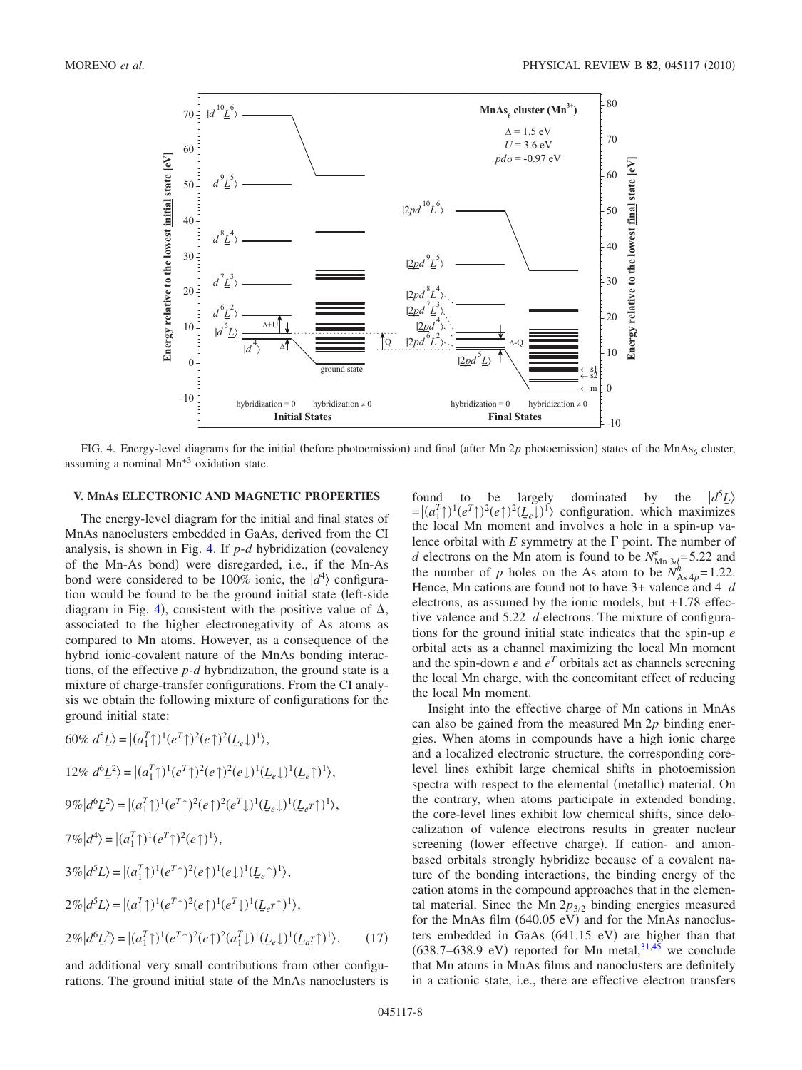<span id="page-7-0"></span>

FIG. 4. Energy-level diagrams for the initial (before photoemission) and final (after Mn 2p photoemission) states of the MnAs<sub>6</sub> cluster, assuming a nominal Mn+3 oxidation state.

### **V. MnAs ELECTRONIC AND MAGNETIC PROPERTIES**

The energy-level diagram for the initial and final states of MnAs nanoclusters embedded in GaAs, derived from the CI analysis, is shown in Fig. [4.](#page-7-0) If  $p-d$  hybridization (covalency of the Mn-As bond) were disregarded, i.e., if the Mn-As bond were considered to be 100% ionic, the  $|d^4\rangle$  configuration would be found to be the ground initial state (left-side diagram in Fig. [4](#page-7-0)), consistent with the positive value of  $\Delta$ , associated to the higher electronegativity of As atoms as compared to Mn atoms. However, as a consequence of the hybrid ionic-covalent nature of the MnAs bonding interactions, of the effective *p*-*d* hybridization, the ground state is a mixture of charge-transfer configurations. From the CI analysis we obtain the following mixture of configurations for the ground initial state:

$$
60\%|d^{5}L\rangle = |(a_{1}^{T})|^{1}(e^{T})^{2}(e^{\uparrow})^{2}(L_{e}\downarrow)^{1}\rangle,
$$
  
\n
$$
12\%|d^{6}L^{2}\rangle = |(a_{1}^{T})|^{1}(e^{T})^{2}(e^{\uparrow})^{2}(e^{\downarrow})^{1}(L_{e}\downarrow)^{1}(L_{e}\uparrow)^{1}\rangle,
$$
  
\n
$$
9\%|d^{6}L^{2}\rangle = |(a_{1}^{T})|^{1}(e^{T})^{2}(e^{\uparrow})^{2}(e^{T})|^{1}(L_{e}\downarrow)^{1}(L_{e}\uparrow)^{1}\rangle,
$$
  
\n
$$
7\%|d^{4}\rangle = |(a_{1}^{T})|^{1}(e^{T})^{2}(e^{\uparrow})^{1}\rangle,
$$
  
\n
$$
3\%|d^{5}L\rangle = |(a_{1}^{T})|^{1}(e^{T})^{2}(e^{\uparrow})|^{1}(e^{\downarrow})|^{1}(L_{e}\uparrow)^{1}\rangle,
$$
  
\n
$$
2\%|d^{5}L\rangle = |(a_{1}^{T})|^{1}(e^{T})^{2}(e^{\uparrow})|^{1}(e^{T})|^{1}(L_{e}\uparrow)^{1}\rangle,
$$
  
\n
$$
2\%|d^{6}L^{2}\rangle = |(a_{1}^{T})|^{1}(e^{T})^{2}(e^{\uparrow})^{2}(a_{1}^{T})|^{1}(L_{e}\downarrow)^{1}(L_{a}^{T})^{1}\rangle,
$$
  
\n
$$
(17)
$$

and additional very small contributions from other configurations. The ground initial state of the MnAs nanoclusters is found to be largely dominated by the  $d^5L$  $= |(a_1^T\uparrow)^1(e^T\uparrow)^2(e\uparrow)^2(L_e\downarrow)^1\rangle$  configuration, which maximizes the local Mn moment and involves a hole in a spin-up valence orbital with  $E$  symmetry at the  $\Gamma$  point. The number of *d* electrons on the Mn atom is found to be  $N_{\text{Mn 3d}}^e = 5.22$  and the number of *p* holes on the As atom to be  $N_{\text{As }4p}^h$  = 1.22. Hence, Mn cations are found not to have 3+ valence and 4 *d* electrons, as assumed by the ionic models, but +1.78 effective valence and 5.22 *d* electrons. The mixture of configurations for the ground initial state indicates that the spin-up *e* orbital acts as a channel maximizing the local Mn moment and the spin-down  $e$  and  $e<sup>T</sup>$  orbitals act as channels screening the local Mn charge, with the concomitant effect of reducing the local Mn moment.

Insight into the effective charge of Mn cations in MnAs can also be gained from the measured Mn 2*p* binding energies. When atoms in compounds have a high ionic charge and a localized electronic structure, the corresponding corelevel lines exhibit large chemical shifts in photoemission spectra with respect to the elemental (metallic) material. On the contrary, when atoms participate in extended bonding, the core-level lines exhibit low chemical shifts, since delocalization of valence electrons results in greater nuclear screening (lower effective charge). If cation- and anionbased orbitals strongly hybridize because of a covalent nature of the bonding interactions, the binding energy of the cation atoms in the compound approaches that in the elemental material. Since the Mn  $2p_{3/2}$  binding energies measured for the MnAs film (640.05 eV) and for the MnAs nanoclusters embedded in GaAs (641.15 eV) are higher than that  $(638.7–638.9 \text{ eV})$  reported for Mn metal,  $31,45$  $31,45$  we conclude that Mn atoms in MnAs films and nanoclusters are definitely in a cationic state, i.e., there are effective electron transfers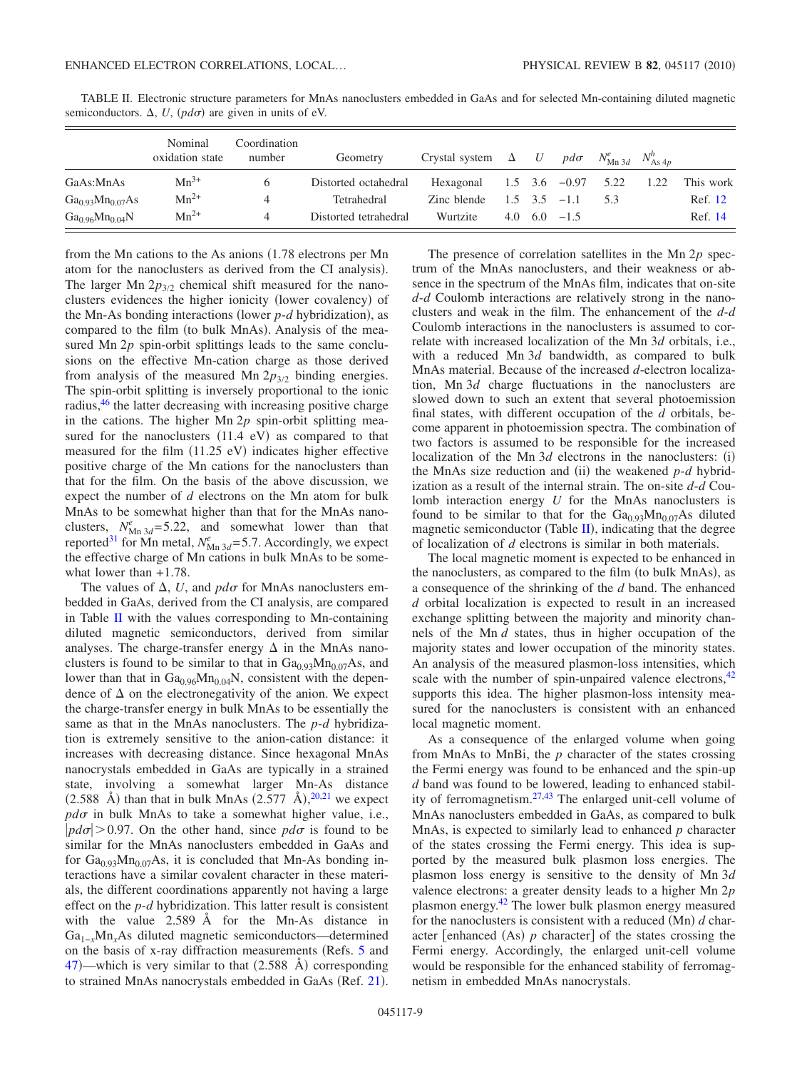|                                         | Nominal<br>oxidation state | Coordination<br>number | Geometry              | Crystal system $\Delta$ U |     | $pd\sigma$          | $N_{\text{Mn 3d}}^e$ $N_{\text{As 4p}}^h$ |      |           |
|-----------------------------------------|----------------------------|------------------------|-----------------------|---------------------------|-----|---------------------|-------------------------------------------|------|-----------|
| GaAs:MnAs                               | $Mn^{3+}$                  |                        | Distorted octahedral  | Hexagonal                 |     | $1.5$ $3.6$ $-0.97$ | 5.22                                      | 1.22 | This work |
| $Ga_{0.93}Mn_{0.07}As$                  | $Mn^{2+}$                  | 4                      | Tetrahedral           | Zinc blende               |     | $1.5 \t3.5 \t-1.1$  | -53                                       |      | Ref. 12   |
| Ga <sub>0.96</sub> Mn <sub>0.04</sub> N | $Mn^{2+}$                  | 4                      | Distorted tetrahedral | Wurtzite                  | 4.0 | $6.0 -1.5$          |                                           |      | Ref. 14   |

<span id="page-8-0"></span>TABLE II. Electronic structure parameters for MnAs nanoclusters embedded in GaAs and for selected Mn-containing diluted magnetic semiconductors.  $\Delta$ ,  $U$ ,  $(p d\sigma)$  are given in units of eV.

from the Mn cations to the As anions  $(1.78$  electrons per Mn atom for the nanoclusters as derived from the CI analysis). The larger Mn  $2p_{3/2}$  chemical shift measured for the nanoclusters evidences the higher ionicity (lower covalency) of the Mn-As bonding interactions (lower  $p$ - $d$  hybridization), as compared to the film (to bulk MnAs). Analysis of the measured Mn 2p spin-orbit splittings leads to the same conclusions on the effective Mn-cation charge as those derived from analysis of the measured Mn  $2p_{3/2}$  binding energies. The spin-orbit splitting is inversely proportional to the ionic radius[,46](#page-10-19) the latter decreasing with increasing positive charge in the cations. The higher Mn 2*p* spin-orbit splitting measured for the nanoclusters  $(11.4 \text{ eV})$  as compared to that measured for the film (11.25 eV) indicates higher effective positive charge of the Mn cations for the nanoclusters than that for the film. On the basis of the above discussion, we expect the number of *d* electrons on the Mn atom for bulk MnAs to be somewhat higher than that for the MnAs nanoclusters,  $N_{\text{Mn }3d}^e$ =5.22, and somewhat lower than that reported<sup>31</sup> for Mn metal,  $N_{\text{Mn 3d}}^e = 5.7$ . Accordingly, we expect the effective charge of Mn cations in bulk MnAs to be somewhat lower than +1.78.

The values of  $\Delta$ , *U*, and  $pd\sigma$  for MnAs nanoclusters embedded in GaAs, derived from the CI analysis, are compared in Table  $II$  with the values corresponding to Mn-containing diluted magnetic semiconductors, derived from similar analyses. The charge-transfer energy  $\Delta$  in the MnAs nanoclusters is found to be similar to that in  $Ga<sub>0.93</sub>Mn<sub>0.07</sub>As$ , and lower than that in  $Ga_{0.96}Mn_{0.04}N$ , consistent with the dependence of  $\Delta$  on the electronegativity of the anion. We expect the charge-transfer energy in bulk MnAs to be essentially the same as that in the MnAs nanoclusters. The *p*-*d* hybridization is extremely sensitive to the anion-cation distance: it increases with decreasing distance. Since hexagonal MnAs nanocrystals embedded in GaAs are typically in a strained state, involving a somewhat larger Mn-As distance  $(2.588 \text{ Å})$  than that in bulk MnAs  $(2.577 \text{ Å})$ ,  $20.21$  $20.21$  we expect  $pd\sigma$  in bulk MnAs to take a somewhat higher value, i.e.,  $|pd\sigma| > 0.97$ . On the other hand, since  $pd\sigma$  is found to be similar for the MnAs nanoclusters embedded in GaAs and for  $Ga_{0.93}Mn_{0.07}As$ , it is concluded that Mn-As bonding interactions have a similar covalent character in these materials, the different coordinations apparently not having a large effect on the *p*-*d* hybridization. This latter result is consistent with the value 2.589 Å for the Mn-As distance in Ga<sub>1-*x*</sub>Mn<sub>*x*</sub>As diluted magnetic semiconductors—determined on the basis of x-ray diffraction measurements (Refs. [5](#page-9-4) and [47](#page-10-20))—which is very similar to that  $(2.588 \text{ Å})$  corresponding to strained MnAs nanocrystals embedded in GaAs (Ref. [21](#page-9-19)).

The presence of correlation satellites in the Mn 2*p* spectrum of the MnAs nanoclusters, and their weakness or absence in the spectrum of the MnAs film, indicates that on-site *d*-*d* Coulomb interactions are relatively strong in the nanoclusters and weak in the film. The enhancement of the *d*-*d* Coulomb interactions in the nanoclusters is assumed to correlate with increased localization of the Mn 3*d* orbitals, i.e., with a reduced Mn 3*d* bandwidth, as compared to bulk MnAs material. Because of the increased *d*-electron localization, Mn 3*d* charge fluctuations in the nanoclusters are slowed down to such an extent that several photoemission final states, with different occupation of the *d* orbitals, become apparent in photoemission spectra. The combination of two factors is assumed to be responsible for the increased localization of the Mn  $3d$  electrons in the nanoclusters:  $(i)$ the MnAs size reduction and (ii) the weakened  $p-d$  hybridization as a result of the internal strain. The on-site *d*-*d* Coulomb interaction energy *U* for the MnAs nanoclusters is found to be similar to that for the  $Ga<sub>0.93</sub>Mn<sub>0.07</sub>As$  diluted magnetic semiconductor (Table  $II$ ), indicating that the degree of localization of *d* electrons is similar in both materials.

The local magnetic moment is expected to be enhanced in the nanoclusters, as compared to the film (to bulk MnAs), as a consequence of the shrinking of the *d* band. The enhanced *d* orbital localization is expected to result in an increased exchange splitting between the majority and minority channels of the Mn *d* states, thus in higher occupation of the majority states and lower occupation of the minority states. An analysis of the measured plasmon-loss intensities, which scale with the number of spin-unpaired valence electrons,  $42$ supports this idea. The higher plasmon-loss intensity measured for the nanoclusters is consistent with an enhanced local magnetic moment.

As a consequence of the enlarged volume when going from MnAs to MnBi, the *p* character of the states crossing the Fermi energy was found to be enhanced and the spin-up *d* band was found to be lowered, leading to enhanced stability of ferromagnetism[.27](#page-10-0)[,43](#page-10-16) The enlarged unit-cell volume of MnAs nanoclusters embedded in GaAs, as compared to bulk MnAs, is expected to similarly lead to enhanced *p* character of the states crossing the Fermi energy. This idea is supported by the measured bulk plasmon loss energies. The plasmon loss energy is sensitive to the density of Mn 3*d* valence electrons: a greater density leads to a higher Mn 2*p* plasmon energy[.42](#page-10-15) The lower bulk plasmon energy measured for the nanoclusters is consistent with a reduced (Mn) d character [enhanced  $(As)$   $p$  character] of the states crossing the Fermi energy. Accordingly, the enlarged unit-cell volume would be responsible for the enhanced stability of ferromagnetism in embedded MnAs nanocrystals.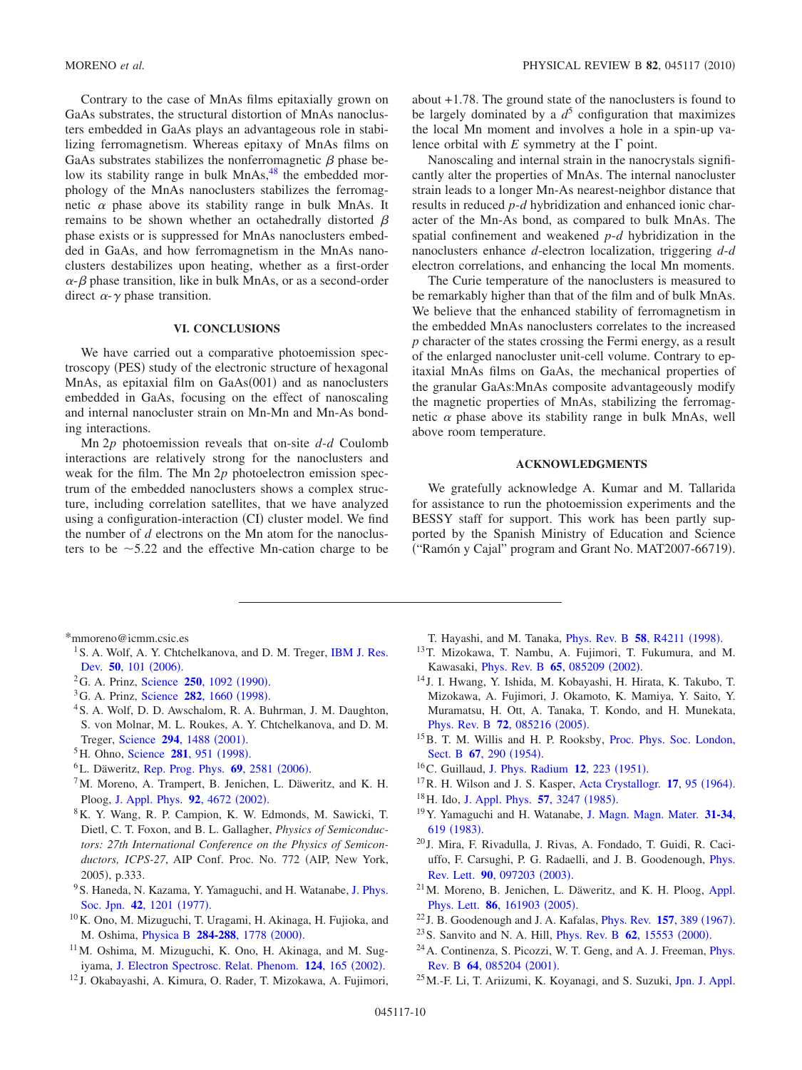Contrary to the case of MnAs films epitaxially grown on GaAs substrates, the structural distortion of MnAs nanoclusters embedded in GaAs plays an advantageous role in stabilizing ferromagnetism. Whereas epitaxy of MnAs films on GaAs substrates stabilizes the nonferromagnetic  $\beta$  phase below its stability range in bulk MnAs,<sup>48</sup> the embedded morphology of the MnAs nanoclusters stabilizes the ferromagnetic  $\alpha$  phase above its stability range in bulk MnAs. It remains to be shown whether an octahedrally distorted  $\beta$ phase exists or is suppressed for MnAs nanoclusters embedded in GaAs, and how ferromagnetism in the MnAs nanoclusters destabilizes upon heating, whether as a first-order  $\alpha$ - $\beta$  phase transition, like in bulk MnAs, or as a second-order direct  $\alpha$ - $\gamma$  phase transition.

# **VI. CONCLUSIONS**

We have carried out a comparative photoemission spectroscopy (PES) study of the electronic structure of hexagonal MnAs, as epitaxial film on GaAs(001) and as nanoclusters embedded in GaAs, focusing on the effect of nanoscaling and internal nanocluster strain on Mn-Mn and Mn-As bonding interactions.

Mn 2*p* photoemission reveals that on-site *d*-*d* Coulomb interactions are relatively strong for the nanoclusters and weak for the film. The Mn 2*p* photoelectron emission spectrum of the embedded nanoclusters shows a complex structure, including correlation satellites, that we have analyzed using a configuration-interaction (CI) cluster model. We find the number of *d* electrons on the Mn atom for the nanoclusters to be  $\sim$  5.22 and the effective Mn-cation charge to be about +1.78. The ground state of the nanoclusters is found to be largely dominated by a  $d^5$  configuration that maximizes the local Mn moment and involves a hole in a spin-up valence orbital with  $E$  symmetry at the  $\Gamma$  point.

Nanoscaling and internal strain in the nanocrystals significantly alter the properties of MnAs. The internal nanocluster strain leads to a longer Mn-As nearest-neighbor distance that results in reduced *p*-*d* hybridization and enhanced ionic character of the Mn-As bond, as compared to bulk MnAs. The spatial confinement and weakened *p*-*d* hybridization in the nanoclusters enhance *d*-electron localization, triggering *d*-*d* electron correlations, and enhancing the local Mn moments.

The Curie temperature of the nanoclusters is measured to be remarkably higher than that of the film and of bulk MnAs. We believe that the enhanced stability of ferromagnetism in the embedded MnAs nanoclusters correlates to the increased *p* character of the states crossing the Fermi energy, as a result of the enlarged nanocluster unit-cell volume. Contrary to epitaxial MnAs films on GaAs, the mechanical properties of the granular GaAs:MnAs composite advantageously modify the magnetic properties of MnAs, stabilizing the ferromagnetic  $\alpha$  phase above its stability range in bulk MnAs, well above room temperature.

#### **ACKNOWLEDGMENTS**

We gratefully acknowledge A. Kumar and M. Tallarida for assistance to run the photoemission experiments and the BESSY staff for support. This work has been partly supported by the Spanish Ministry of Education and Science ("Ramón y Cajal" program and Grant No. MAT2007-66719).

<span id="page-9-0"></span>\*mmoreno@icmm.csic.es

- <span id="page-9-1"></span><sup>1</sup> S. A. Wolf, A. Y. Chtchelkanova, and D. M. Treger, [IBM J. Res.](http://dx.doi.org/10.1147/rd.501.0101) Dev. 50[, 101](http://dx.doi.org/10.1147/rd.501.0101) (2006).
- <span id="page-9-2"></span><sup>2</sup>G. A. Prinz, [Science](http://dx.doi.org/10.1126/science.250.4984.1092) **250**, 1092 (1990).
- <sup>3</sup>G. A. Prinz, [Science](http://dx.doi.org/10.1126/science.282.5394.1660) **282**, 1660 (1998).
- <span id="page-9-3"></span>4S. A. Wolf, D. D. Awschalom, R. A. Buhrman, J. M. Daughton, S. von Molnar, M. L. Roukes, A. Y. Chtchelkanova, and D. M. Treger, [Science](http://dx.doi.org/10.1126/science.1065389) 294, 1488 (2001).
- <span id="page-9-4"></span><sup>5</sup>H. Ohno, [Science](http://dx.doi.org/10.1126/science.281.5379.951) **281**, 951 (1998).
- <span id="page-9-5"></span><sup>6</sup>L. Däweritz, [Rep. Prog. Phys.](http://dx.doi.org/10.1088/0034-4885/69/9/R02) 69, 2581 (2006).
- <span id="page-9-6"></span> $7$ M. Moreno, A. Trampert, B. Jenichen, L. Däweritz, and K. H. Ploog, [J. Appl. Phys.](http://dx.doi.org/10.1063/1.1506402) 92, 4672 (2002).
- <span id="page-9-7"></span>8K. Y. Wang, R. P. Campion, K. W. Edmonds, M. Sawicki, T. Dietl, C. T. Foxon, and B. L. Gallagher, *Physics of Semiconductors: 27th International Conference on the Physics of Semicon*ductors, ICPS-27, AIP Conf. Proc. No. 772 (AIP, New York, 2005), p.333.
- <span id="page-9-8"></span><sup>9</sup>S. Haneda, N. Kazama, Y. Yamaguchi, and H. Watanabe, [J. Phys.](http://dx.doi.org/10.1143/JPSJ.42.1201) [Soc. Jpn.](http://dx.doi.org/10.1143/JPSJ.42.1201) 42, 1201 (1977).
- <span id="page-9-9"></span>10K. Ono, M. Mizuguchi, T. Uragami, H. Akinaga, H. Fujioka, and M. Oshima, *[Physica B](http://dx.doi.org/10.1016/S0921-4526(99)02967-1)* 284-288, 1778 (2000).
- <span id="page-9-10"></span>11M. Oshima, M. Mizuguchi, K. Ono, H. Akinaga, and M. Sug-iyama, [J. Electron Spectrosc. Relat. Phenom.](http://dx.doi.org/10.1016/S0368-2048(02)00052-X) 124, 165 (2002).
- <span id="page-9-11"></span><sup>12</sup> J. Okabayashi, A. Kimura, O. Rader, T. Mizokawa, A. Fujimori,
- T. Hayashi, and M. Tanaka, *[Phys. Rev. B](http://dx.doi.org/10.1103/PhysRevB.58.R4211)* 58, R4211 (1998).
- 13T. Mizokawa, T. Nambu, A. Fujimori, T. Fukumura, and M. Kawasaki, *[Phys. Rev. B](http://dx.doi.org/10.1103/PhysRevB.65.085209)* 65, 085209 (2002).
- <span id="page-9-12"></span><sup>14</sup> J. I. Hwang, Y. Ishida, M. Kobayashi, H. Hirata, K. Takubo, T. Mizokawa, A. Fujimori, J. Okamoto, K. Mamiya, Y. Saito, Y. Muramatsu, H. Ott, A. Tanaka, T. Kondo, and H. Munekata, [Phys. Rev. B](http://dx.doi.org/10.1103/PhysRevB.72.085216) **72**, 085216 (2005).
- <span id="page-9-13"></span><sup>15</sup>B. T. M. Willis and H. P. Rooksby, [Proc. Phys. Soc. London,](http://dx.doi.org/10.1088/0370-1301/67/4/302) [Sect. B](http://dx.doi.org/10.1088/0370-1301/67/4/302) 67, 290 (1954).
- <span id="page-9-14"></span><sup>16</sup>C. Guillaud, [J. Phys. Radium](http://dx.doi.org/10.1051/jphysrad:01951001203022300) **12**, 223 (1951).
- <span id="page-9-15"></span><sup>17</sup> R. H. Wilson and J. S. Kasper, [Acta Crystallogr.](http://dx.doi.org/10.1107/S0365110X64000330) **17**, 95 (1964).
- <span id="page-9-16"></span><sup>18</sup>H. Ido, [J. Appl. Phys.](http://dx.doi.org/10.1063/1.335113) **57**, 3247 (1985).
- <span id="page-9-17"></span>19Y. Yamaguchi and H. Watanabe, [J. Magn. Magn. Mater.](http://dx.doi.org/10.1016/0304-8853(83)90605-4) **31-34**, 619 ([1983](http://dx.doi.org/10.1016/0304-8853(83)90605-4)).
- <span id="page-9-18"></span><sup>20</sup> J. Mira, F. Rivadulla, J. Rivas, A. Fondado, T. Guidi, R. Caciuffo, F. Carsughi, P. G. Radaelli, and J. B. Goodenough, [Phys.](http://dx.doi.org/10.1103/PhysRevLett.90.097203) [Rev. Lett.](http://dx.doi.org/10.1103/PhysRevLett.90.097203) **90**, 097203 (2003).
- <span id="page-9-19"></span>21M. Moreno, B. Jenichen, L. Däweritz, and K. H. Ploog, [Appl.](http://dx.doi.org/10.1063/1.1899767) [Phys. Lett.](http://dx.doi.org/10.1063/1.1899767) **86**, 161903 (2005).
- <span id="page-9-20"></span><sup>22</sup> J. B. Goodenough and J. A. Kafalas, *[Phys. Rev.](http://dx.doi.org/10.1103/PhysRev.157.389)* **157**, 389 (1967).
- <span id="page-9-21"></span><sup>23</sup> S. Sanvito and N. A. Hill, *[Phys. Rev. B](http://dx.doi.org/10.1103/PhysRevB.62.15553)* **62**, 15553 (2000).
- <sup>24</sup> A. Continenza, S. Picozzi, W. T. Geng, and A. J. Freeman, *[Phys.](http://dx.doi.org/10.1103/PhysRevB.64.085204)* Rev. B 64[, 085204](http://dx.doi.org/10.1103/PhysRevB.64.085204) (2001).
- <span id="page-9-22"></span>25M.-F. Li, T. Ariizumi, K. Koyanagi, and S. Suzuki, [Jpn. J. Appl.](http://dx.doi.org/10.1143/JJAP.46.3455)